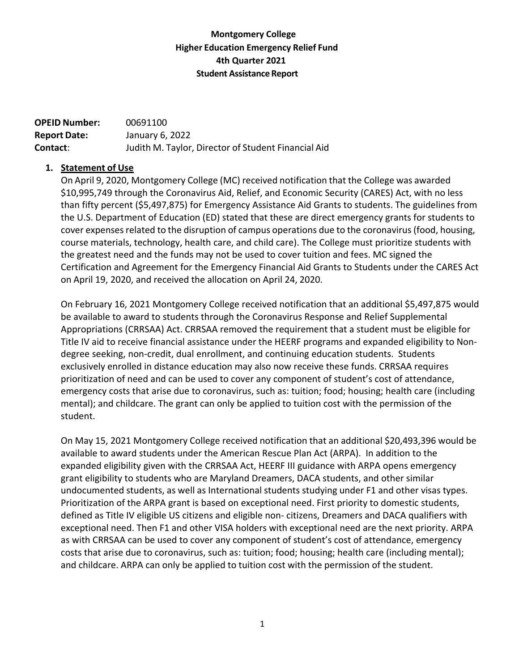## **Montgomery College Higher Education Emergency Relief Fund 4th Quarter 2021 Student Assistance Report**

| <b>OPEID Number:</b> | 00691100                                            |
|----------------------|-----------------------------------------------------|
| <b>Report Date:</b>  | January 6, 2022                                     |
| Contact:             | Judith M. Taylor, Director of Student Financial Aid |

#### **1. Statement of Use**

On April 9, 2020, Montgomery College (MC) received notification that the College was awarded \$10,995,749 through the Coronavirus Aid, Relief, and Economic Security (CARES) Act, with no less than fifty percent (\$5,497,875) for Emergency Assistance Aid Grants to students. The guidelines from the U.S. Department of Education (ED) stated that these are direct emergency grants for students to cover expenses related to the disruption of campus operations due to the coronavirus (food, housing, course materials, technology, health care, and child care). The College must prioritize students with the greatest need and the funds may not be used to cover tuition and fees. MC signed the Certification and Agreement for the Emergency Financial Aid Grants to Students under the CARES Act on April 19, 2020, and received the allocation on April 24, 2020.

On February 16, 2021 Montgomery College received notification that an additional \$5,497,875 would be available to award to students through the Coronavirus Response and Relief Supplemental Appropriations (CRRSAA) Act. CRRSAA removed the requirement that a student must be eligible for Title IV aid to receive financial assistance under the HEERF programs and expanded eligibility to Nondegree seeking, non-credit, dual enrollment, and continuing education students. Students exclusively enrolled in distance education may also now receive these funds. CRRSAA requires prioritization of need and can be used to cover any component of student's cost of attendance, emergency costs that arise due to coronavirus, such as: tuition; food; housing; health care (including mental); and childcare. The grant can only be applied to tuition cost with the permission of the student.

On May 15, 2021 Montgomery College received notification that an additional \$20,493,396 would be available to award students under the American Rescue Plan Act (ARPA). In addition to the expanded eligibility given with the CRRSAA Act, HEERF III guidance with ARPA opens emergency grant eligibility to students who are Maryland Dreamers, DACA students, and other similar undocumented students, as well as International students studying under F1 and other visas types. Prioritization of the ARPA grant is based on exceptional need. First priority to domestic students, defined as Title IV eligible US citizens and eligible non- citizens, Dreamers and DACA qualifiers with exceptional need. Then F1 and other VISA holders with exceptional need are the next priority. ARPA as with CRRSAA can be used to cover any component of student's cost of attendance, emergency costs that arise due to coronavirus, such as: tuition; food; housing; health care (including mental); and childcare. ARPA can only be applied to tuition cost with the permission of the student.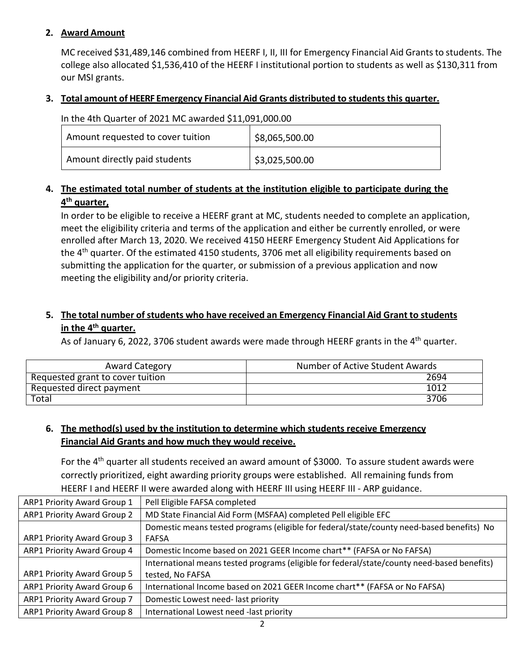## **2. Award Amount**

MC received \$31,489,146 combined from HEERF I, II, III for Emergency Financial Aid Grants to students. The college also allocated \$1,536,410 of the HEERF I institutional portion to students as well as \$130,311 from our MSI grants.

#### **3. Total amount of HEERF Emergency Financial Aid Grants distributed to students this quarter.**

| In the 4th Quarter of 2021 MC awarded \$11,091,000.00 |  |
|-------------------------------------------------------|--|
|-------------------------------------------------------|--|

| Amount requested to cover tuition | \$8,065,500.00     |
|-----------------------------------|--------------------|
| Amount directly paid students     | $ $ \$3,025,500.00 |

# **4. The estimated total number of students at the institution eligible to participate during the 4th quarter,**

In order to be eligible to receive a HEERF grant at MC, students needed to complete an application, meet the eligibility criteria and terms of the application and either be currently enrolled, or were enrolled after March 13, 2020. We received 4150 HEERF Emergency Student Aid Applications for the 4<sup>th</sup> quarter. Of the estimated 4150 students, 3706 met all eligibility requirements based on submitting the application for the quarter, or submission of a previous application and now meeting the eligibility and/or priority criteria.

# **5. The total number of students who have received an Emergency Financial Aid Grant to students in the 4th quarter.**

As of January 6, 2022, 3706 student awards were made through HEERF grants in the 4<sup>th</sup> quarter.

| <b>Award Category</b>            | Number of Active Student Awards |
|----------------------------------|---------------------------------|
| Requested grant to cover tuition | 2694                            |
| Requested direct payment         | 1012                            |
| Total                            | 3706                            |

# **6. The method(s) used by the institution to determine which students receive Emergency Financial Aid Grants and how much they would receive.**

For the 4<sup>th</sup> quarter all students received an award amount of \$3000. To assure student awards were correctly prioritized, eight awarding priority groups were established. All remaining funds from HEERF I and HEERF II were awarded along with HEERF III using HEERF III - ARP guidance.

| <b>ARP1 Priority Award Group 1</b> | Pell Eligible FAFSA completed                                                                                   |
|------------------------------------|-----------------------------------------------------------------------------------------------------------------|
| <b>ARP1 Priority Award Group 2</b> | MD State Financial Aid Form (MSFAA) completed Pell eligible EFC                                                 |
| ARP1 Priority Award Group 3        | Domestic means tested programs (eligible for federal/state/county need-based benefits) No<br><b>FAFSA</b>       |
| ARP1 Priority Award Group 4        | Domestic Income based on 2021 GEER Income chart** (FAFSA or No FAFSA)                                           |
| <b>ARP1 Priority Award Group 5</b> | International means tested programs (eligible for federal/state/county need-based benefits)<br>tested, No FAFSA |
| ARP1 Priority Award Group 6        | International Income based on 2021 GEER Income chart** (FAFSA or No FAFSA)                                      |
| ARP1 Priority Award Group 7        | Domestic Lowest need-last priority                                                                              |
| <b>ARP1 Priority Award Group 8</b> | International Lowest need -last priority                                                                        |